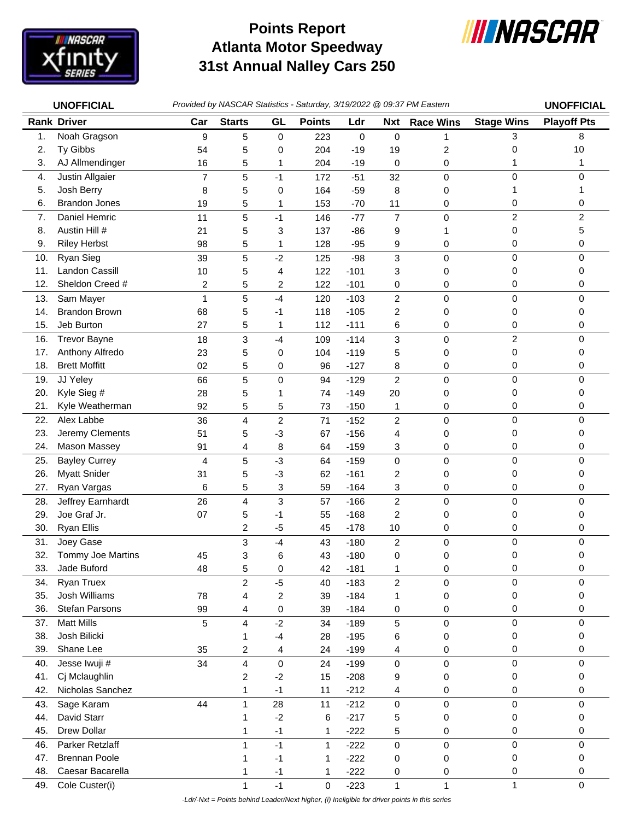

## **Atlanta Motor Speedway 31st Annual Nalley Cars 250 Points Report**



|     | <b>UNOFFICIAL</b>    |                         |               |                         |                     |        |                  | Provided by NASCAR Statistics - Saturday, 3/19/2022 @ 09:37 PM Eastern |                   | <b>UNOFFICIAL</b>  |
|-----|----------------------|-------------------------|---------------|-------------------------|---------------------|--------|------------------|------------------------------------------------------------------------|-------------------|--------------------|
|     | <b>Rank Driver</b>   | Car                     | <b>Starts</b> | GL                      | <b>Points</b>       | Ldr    | <b>Nxt</b>       | <b>Race Wins</b>                                                       | <b>Stage Wins</b> | <b>Playoff Pts</b> |
| 1.  | Noah Gragson         | $\boldsymbol{9}$        | 5             | 0                       | 223                 | 0      | $\mathbf 0$      | 1                                                                      | 3                 | 8                  |
| 2.  | Ty Gibbs             | 54                      | 5             | 0                       | 204                 | $-19$  | 19               | 2                                                                      | 0                 | 10                 |
| 3.  | AJ Allmendinger      | 16                      | 5             | 1                       | 204                 | $-19$  | 0                | 0                                                                      | 1                 |                    |
| 4.  | Justin Allgaier      | $\overline{7}$          | 5             | $-1$                    | 172                 | $-51$  | 32               | $\mathbf 0$                                                            | 0                 | 0                  |
| 5.  | Josh Berry           | 8                       | 5             | 0                       | 164                 | $-59$  | 8                | 0                                                                      | 1                 |                    |
| 6.  | <b>Brandon Jones</b> | 19                      | 5             | 1                       | 153                 | $-70$  | 11               | 0                                                                      | 0                 | 0                  |
| 7.  | Daniel Hemric        | 11                      | 5             | $-1$                    | 146                 | $-77$  | $\overline{7}$   | $\mathbf 0$                                                            | $\overline{c}$    | 2                  |
| 8.  | Austin Hill #        | 21                      | 5             | 3                       | 137                 | $-86$  | 9                | 1                                                                      | 0                 | 5                  |
| 9.  | <b>Riley Herbst</b>  | 98                      | 5             | 1                       | 128                 | $-95$  | 9                | 0                                                                      | 0                 | 0                  |
| 10. | Ryan Sieg            | 39                      | 5             | $-2$                    | 125                 | $-98$  | 3                | 0                                                                      | 0                 | 0                  |
| 11. | Landon Cassill       | 10                      | 5             | 4                       | 122                 | $-101$ | 3                | 0                                                                      | 0                 | 0                  |
| 12. | Sheldon Creed #      | $\overline{\mathbf{c}}$ | 5             | 2                       | 122                 | $-101$ | 0                | 0                                                                      | 0                 | 0                  |
| 13. | Sam Mayer            | $\mathbf{1}$            | 5             | $-4$                    | 120                 | $-103$ | $\overline{c}$   | 0                                                                      | 0                 | 0                  |
| 14. | <b>Brandon Brown</b> | 68                      | 5             | $-1$                    | 118                 | $-105$ | $\overline{c}$   | 0                                                                      | 0                 | 0                  |
| 15. | Jeb Burton           | 27                      | 5             | 1                       | 112                 | $-111$ | 6                | 0                                                                      | 0                 | 0                  |
| 16. | <b>Trevor Bayne</b>  | 18                      | 3             | $-4$                    | 109                 | $-114$ | 3                | 0                                                                      | $\overline{c}$    | 0                  |
| 17. | Anthony Alfredo      | 23                      | 5             | 0                       | 104                 | $-119$ | 5                | 0                                                                      | 0                 | 0                  |
| 18. | <b>Brett Moffitt</b> | 02                      | 5             | 0                       | 96                  | $-127$ | 8                | 0                                                                      | 0                 | 0                  |
| 19. | JJ Yeley             | 66                      | 5             | 0                       | 94                  | $-129$ | $\overline{2}$   | $\mathbf 0$                                                            | 0                 | 0                  |
| 20. | Kyle Sieg #          | 28                      | 5             | 1                       | 74                  | $-149$ | 20               | 0                                                                      | 0                 | 0                  |
| 21. | Kyle Weatherman      | 92                      | 5             | 5                       | 73                  | $-150$ | 1                | 0                                                                      | 0                 | 0                  |
| 22. | Alex Labbe           | 36                      | 4             | $\overline{\mathbf{c}}$ | 71                  | $-152$ | $\overline{c}$   | 0                                                                      | 0                 | 0                  |
| 23. | Jeremy Clements      | 51                      | 5             | -3                      | 67                  | $-156$ | 4                | 0                                                                      | 0                 | 0                  |
| 24. | Mason Massey         | 91                      | 4             | 8                       | 64                  | $-159$ | 3                | 0                                                                      | 0                 | 0                  |
| 25. | <b>Bayley Currey</b> | 4                       | 5             | $-3$                    | 64                  | $-159$ | $\mathbf 0$      | $\mathbf 0$                                                            | 0                 | 0                  |
| 26. | <b>Myatt Snider</b>  | 31                      | 5             | $-3$                    | 62                  | $-161$ | 2                | 0                                                                      | 0                 | 0                  |
| 27. | Ryan Vargas          | 6                       | 5             | 3                       | 59                  | $-164$ | 3                | 0                                                                      | 0                 | 0                  |
| 28. | Jeffrey Earnhardt    | 26                      | 4             | 3                       | 57                  | $-166$ | $\overline{c}$   | 0                                                                      | 0                 | 0                  |
| 29. | Joe Graf Jr.         | 07                      | 5             | -1                      | 55                  | $-168$ | 2                | 0                                                                      | 0                 | 0                  |
| 30. | <b>Ryan Ellis</b>    |                         | 2             | $-5$                    | 45                  | $-178$ | 10               | 0                                                                      | 0                 | 0                  |
| 31. | Joey Gase            |                         | 3             | $-4$                    | 43                  | $-180$ | $\boldsymbol{2}$ | $\pmb{0}$                                                              | $\mathsf 0$       | 0                  |
| 32. | Tommy Joe Martins    | 45                      | 3             | 6                       | 43                  | $-180$ | $\mathbf 0$      | 0                                                                      | 0                 | 0                  |
| 33. | Jade Buford          | 48                      | 5             | 0                       | 42                  | $-181$ | 1                | 0                                                                      | $\pmb{0}$         | 0                  |
| 34. | Ryan Truex           |                         | 2             | $-5$                    | 40                  | $-183$ | $\overline{2}$   | 0                                                                      | 0                 | 0                  |
| 35. | <b>Josh Williams</b> | 78                      | 4             | 2                       | 39                  | $-184$ | 1                | 0                                                                      | 0                 | 0                  |
| 36. | Stefan Parsons       | 99                      | 4             | 0                       | 39                  | $-184$ | 0                | 0                                                                      | 0                 | 0                  |
| 37. | <b>Matt Mills</b>    | 5                       | 4             | $-2$                    | 34                  | $-189$ | 5                | $\pmb{0}$                                                              | 0                 | 0                  |
| 38. | Josh Bilicki         |                         | 1             | $-4$                    | 28                  | $-195$ | 6                | 0                                                                      | 0                 | 0                  |
| 39. | Shane Lee            | 35                      | 2             | 4                       | 24                  | $-199$ | 4                | 0                                                                      | 0                 | 0                  |
| 40. | Jesse Iwuji #        | 34                      | 4             | $\mathbf 0$             | 24                  | $-199$ | 0                | 0                                                                      | 0                 | 0                  |
| 41. | Cj Mclaughlin        |                         | 2             | $-2$                    | 15                  | $-208$ | 9                | 0                                                                      | 0                 | 0                  |
| 42. | Nicholas Sanchez     |                         | 1             | $-1$                    | 11                  | $-212$ | 4                | 0                                                                      | 0                 | 0                  |
| 43. | Sage Karam           | 44                      | 1             | 28                      | 11                  | $-212$ | $\pmb{0}$        | $\pmb{0}$                                                              | 0                 | $\mathbf 0$        |
| 44. | David Starr          |                         | 1             | $-2$                    | 6                   | $-217$ | 5                | 0                                                                      | 0                 | 0                  |
| 45. | Drew Dollar          |                         | 1             | $-1$                    | 1                   | $-222$ | 5                | 0                                                                      | 0                 | 0                  |
| 46. | Parker Retzlaff      |                         | 1             | $-1$                    | $\mathbf{1}$        | $-222$ | 0                | 0                                                                      | 0                 | $\mathbf 0$        |
| 47. | <b>Brennan Poole</b> |                         | 1             | $-1$                    | 1                   | $-222$ | 0                | 0                                                                      | 0                 | 0                  |
| 48. | Caesar Bacarella     |                         | 1             | $-1$                    | 1                   | $-222$ | 0                | 0                                                                      | 0                 | 0                  |
| 49. | Cole Custer(i)       |                         | $\mathbf{1}$  | $-1$                    | $\mathsf{O}\xspace$ | $-223$ | 1                | 1                                                                      | $\mathbf{1}$      | $\mathbf 0$        |

 *-Ldr/-Nxt = Points behind Leader/Next higher, (i) Ineligible for driver points in this series*